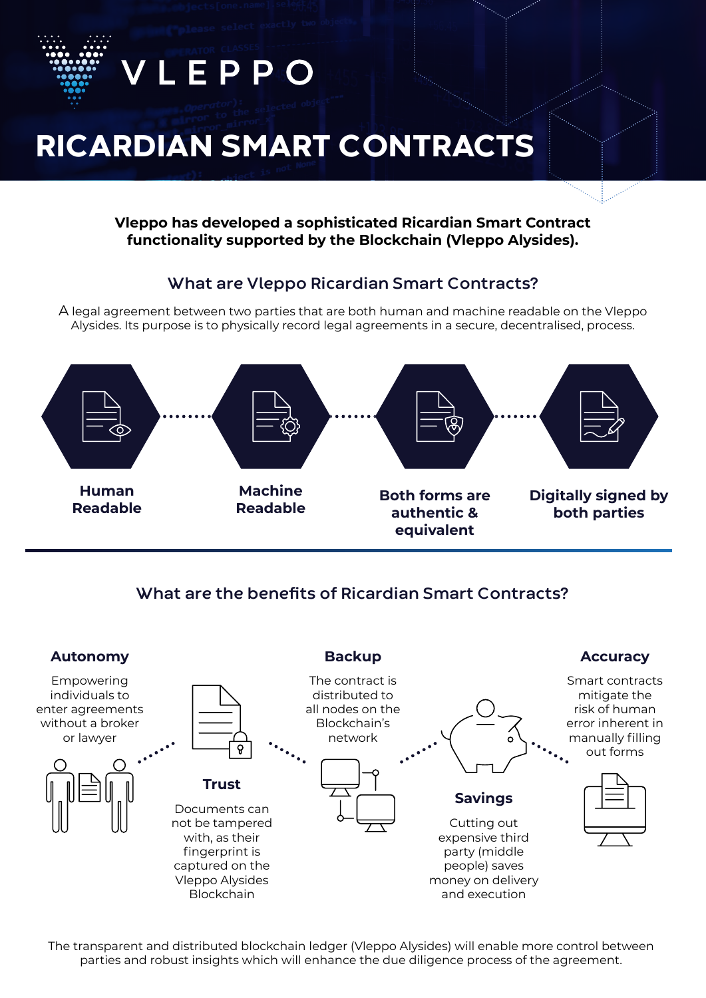



**What are the benefits of Ricardian Smart Contracts?** 



The transparent and distributed blockchain ledger (Vleppo Alysides) will enable more control between parties and robust insights which will enhance the due diligence process of the agreement.